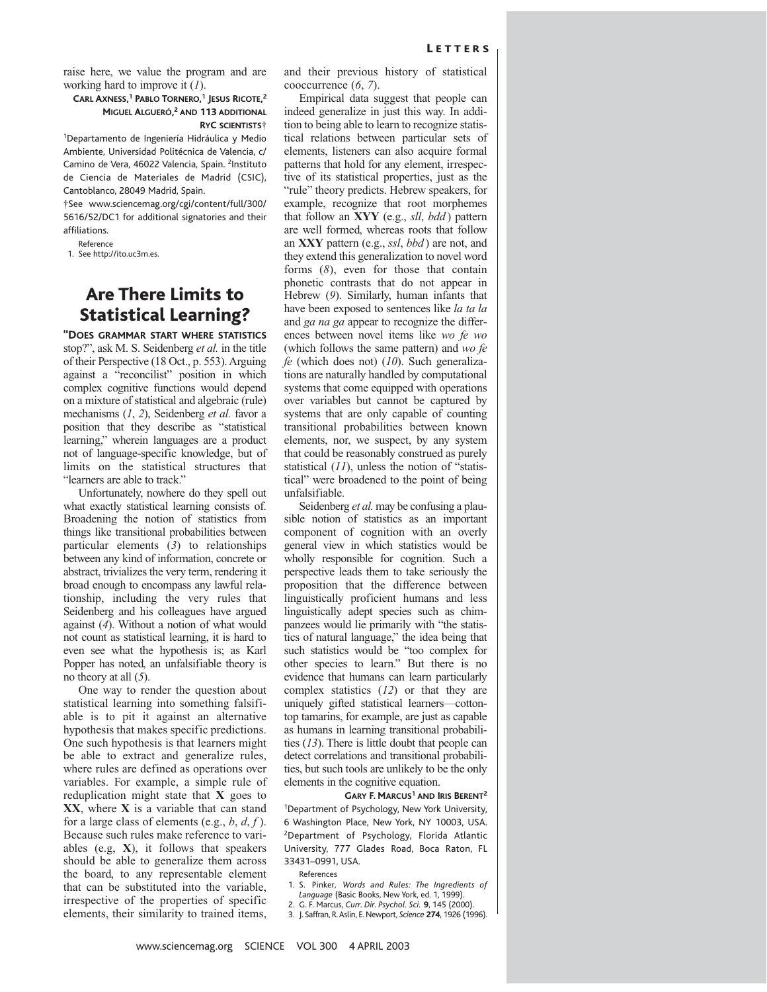raise here, we value the program and are working hard to improve it (*1*).

# **CARL AXNESS, <sup>1</sup> PABLO TORNERO, <sup>1</sup> JESUS RICOTE, 2 MIGUEL ALGUERÓ, <sup>2</sup> AND 113 ADDITIONAL RYC SCIENTISTS**†

<sup>1</sup>Departamento de Ingeniería Hidráulica y Medio Ambiente, Universidad Politécnica de Valencia, c/ Camino de Vera, 46022 Valencia, Spain. <sup>2</sup>Instituto de Ciencia de Materiales de Madrid (CSIC), Cantoblanco, 28049 Madrid, Spain.

†See www.sciencemag.org/cgi/content/full/300/ 5616/52/DC1 for additional signatories and their affiliations.

Reference 1. See http://ito.uc3m.es.

# Are There Limits to Statistical Learning?

**"DOES GRAMMAR START WHERE STATISTICS** stop?", ask M. S. Seidenberg *et al.* in the title of their Perspective (18 Oct., p. 553). Arguing against a "reconcilist" position in which complex cognitive functions would depend on a mixture of statistical and algebraic (rule) mechanisms (*1*, *2*), Seidenberg *et al.* favor a position that they describe as "statistical learning," wherein languages are a product not of language-specific knowledge, but of limits on the statistical structures that "learners are able to track."

Unfortunately, nowhere do they spell out what exactly statistical learning consists of. Broadening the notion of statistics from things like transitional probabilities between particular elements (*3*) to relationships between any kind of information, concrete or abstract, trivializes the very term, rendering it broad enough to encompass any lawful relationship, including the very rules that Seidenberg and his colleagues have argued against (*4*). Without a notion of what would not count as statistical learning, it is hard to even see what the hypothesis is; as Karl Popper has noted, an unfalsifiable theory is no theory at all (*5*).

One way to render the question about statistical learning into something falsifiable is to pit it against an alternative hypothesis that makes specific predictions. One such hypothesis is that learners might be able to extract and generalize rules, where rules are defined as operations over variables. For example, a simple rule of reduplication might state that **X** goes to **XX**, where **X** is a variable that can stand for a large class of elements (e.g., *b*, *d*, *f* ). Because such rules make reference to variables (e.g, **X**), it follows that speakers should be able to generalize them across the board, to any representable element that can be substituted into the variable, irrespective of the properties of specific elements, their similarity to trained items,

and their previous history of statistical cooccurrence (*6*, *7*).

Empirical data suggest that people can indeed generalize in just this way. In addition to being able to learn to recognize statistical relations between particular sets of elements, listeners can also acquire formal patterns that hold for any element, irrespective of its statistical properties, just as the "rule" theory predicts. Hebrew speakers, for example, recognize that root morphemes that follow an **XYY** (e.g., *sll*, *bdd* ) pattern are well formed, whereas roots that follow an **XXY** pattern (e.g., *ssl*, *bbd* ) are not, and they extend this generalization to novel word forms (*8*), even for those that contain phonetic contrasts that do not appear in Hebrew (*9*). Similarly, human infants that have been exposed to sentences like *la ta la* and *ga na ga* appear to recognize the differences between novel items like *wo fe wo* (which follows the same pattern) and *wo fe fe* (which does not) (*10*). Such generalizations are naturally handled by computational systems that come equipped with operations over variables but cannot be captured by systems that are only capable of counting transitional probabilities between known elements, nor, we suspect, by any system that could be reasonably construed as purely statistical (*11*), unless the notion of "statistical" were broadened to the point of being unfalsifiable.

Seidenberg *et al.* may be confusing a plausible notion of statistics as an important component of cognition with an overly general view in which statistics would be wholly responsible for cognition. Such a perspective leads them to take seriously the proposition that the difference between linguistically proficient humans and less linguistically adept species such as chimpanzees would lie primarily with "the statistics of natural language," the idea being that such statistics would be "too complex for other species to learn." But there is no evidence that humans can learn particularly complex statistics (*12*) or that they are uniquely gifted statistical learners—cottontop tamarins, for example, are just as capable as humans in learning transitional probabilities (*13*). There is little doubt that people can detect correlations and transitional probabilities, but such tools are unlikely to be the only elements in the cognitive equation.

**GARY F. MARCUS1 AND IRIS BERENT2** 1Department of Psychology, New York University, 6 Washington Place, New York, NY 10003, USA. 2Department of Psychology, Florida Atlantic University, 777 Glades Road, Boca Raton, FL 33431–0991, USA.

References

- 1. S. Pinker, *Words and Rules: The Ingredients of Language* (Basic Books, New York, ed. 1, 1999).
- 2. G. F. Marcus, *Curr. Dir. Psychol. Sci.* **9**, 145 (2000).
- 3. J. Saffran, R.Aslin, E. Newport, *Science* **274**, 1926 (1996).